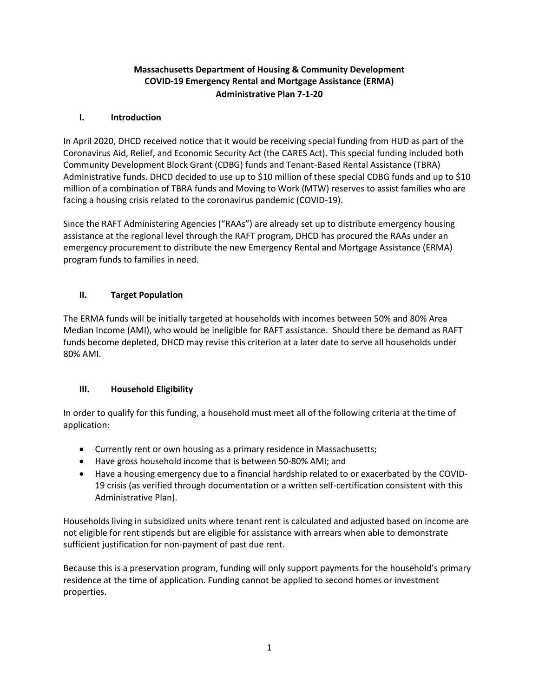# **Massachusetts Department of Housing & Community Development COVID-19 Emergency Rental and Mortgage Assistance (ERMA) Administrative Plan 7-1-20**

## **I. Introduction**

In April 2020, DHCD received notice that it would be receiving special funding from HUD as part of the Coronavirus Aid, Relief, and Economic Security Act (the CARES Act). This special funding included both Community Development Block Grant (CDBG) funds and Tenant-Based Rental Assistance (TBRA) Administrative funds. DHCD decided to use up to \$10 million of these special CDBG funds and up to \$10 million of a combination of TBRA funds and Moving to Work (MTW) reserves to assist families who are facing a housing crisis related to the coronavirus pandemic (COVID-19).

Since the RAFT Administering Agencies ("RAAs") are already set up to distribute emergency housing assistance at the regional level through the RAFT program, DHCD has procured the RAAs under an emergency procurement to distribute the new Emergency Rental and Mortgage Assistance (ERMA) program funds to families in need.

# **II. Target Population**

The ERMA funds will be initially targeted at households with incomes between 50% and 80% Area Median Income (AMI), who would be ineligible for RAFT assistance. Should there be demand as RAFT funds become depleted, DHCD may revise this criterion at a later date to serve all households under 80% AMI.

## **III. Household Eligibility**

In order to qualify for this funding, a household must meet all of the following criteria at the time of application:

- Currently rent or own housing as a primary residence in Massachusetts;
- Have gross household income that is between 50-80% AMI; and
- Have a housing emergency due to a financial hardship related to or exacerbated by the COVID-19 crisis (as verified through documentation or a written self-certification consistent with this Administrative Plan).

Households living in subsidized units where tenant rent is calculated and adjusted based on income are not eligible for rent stipends but are eligible for assistance with arrears when able to demonstrate sufficient justification for non-payment of past due rent.

Because this is a preservation program, funding will only support payments for the household's primary residence at the time of application. Funding cannot be applied to second homes or investment properties.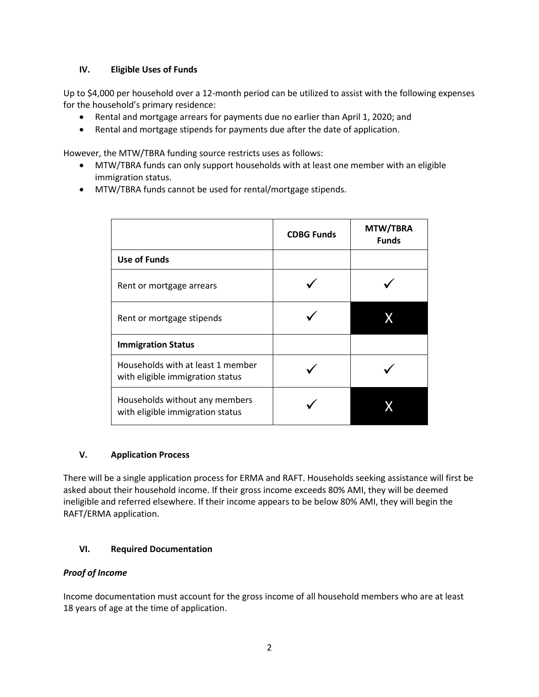### **IV. Eligible Uses of Funds**

Up to \$4,000 per household over a 12-month period can be utilized to assist with the following expenses for the household's primary residence:

- Rental and mortgage arrears for payments due no earlier than April 1, 2020; and
- Rental and mortgage stipends for payments due after the date of application.

However, the MTW/TBRA funding source restricts uses as follows:

- MTW/TBRA funds can only support households with at least one member with an eligible immigration status.
- MTW/TBRA funds cannot be used for rental/mortgage stipends.

|                                                                       | <b>CDBG Funds</b> | MTW/TBRA<br><b>Funds</b> |
|-----------------------------------------------------------------------|-------------------|--------------------------|
| Use of Funds                                                          |                   |                          |
| Rent or mortgage arrears                                              |                   |                          |
| Rent or mortgage stipends                                             |                   |                          |
| <b>Immigration Status</b>                                             |                   |                          |
| Households with at least 1 member<br>with eligible immigration status |                   |                          |
| Households without any members<br>with eligible immigration status    |                   |                          |

#### **V. Application Process**

There will be a single application process for ERMA and RAFT. Households seeking assistance will first be asked about their household income. If their gross income exceeds 80% AMI, they will be deemed ineligible and referred elsewhere. If their income appears to be below 80% AMI, they will begin the RAFT/ERMA application.

## **VI. Required Documentation**

#### *Proof of Income*

Income documentation must account for the gross income of all household members who are at least 18 years of age at the time of application.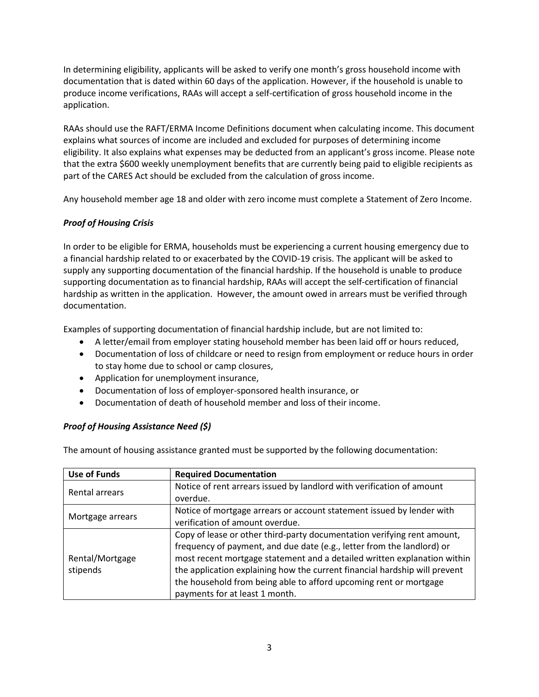In determining eligibility, applicants will be asked to verify one month's gross household income with documentation that is dated within 60 days of the application. However, if the household is unable to produce income verifications, RAAs will accept a self-certification of gross household income in the application.

RAAs should use the RAFT/ERMA Income Definitions document when calculating income. This document explains what sources of income are included and excluded for purposes of determining income eligibility. It also explains what expenses may be deducted from an applicant's gross income. Please note that the extra \$600 weekly unemployment benefits that are currently being paid to eligible recipients as part of the CARES Act should be excluded from the calculation of gross income.

Any household member age 18 and older with zero income must complete a Statement of Zero Income.

## *Proof of Housing Crisis*

In order to be eligible for ERMA, households must be experiencing a current housing emergency due to a financial hardship related to or exacerbated by the COVID-19 crisis. The applicant will be asked to supply any supporting documentation of the financial hardship. If the household is unable to produce supporting documentation as to financial hardship, RAAs will accept the self-certification of financial hardship as written in the application. However, the amount owed in arrears must be verified through documentation.

Examples of supporting documentation of financial hardship include, but are not limited to:

- A letter/email from employer stating household member has been laid off or hours reduced,
- Documentation of loss of childcare or need to resign from employment or reduce hours in order to stay home due to school or camp closures,
- Application for unemployment insurance,
- Documentation of loss of employer-sponsored health insurance, or
- Documentation of death of household member and loss of their income.

## *Proof of Housing Assistance Need (\$)*

The amount of housing assistance granted must be supported by the following documentation:

| <b>Use of Funds</b>         | <b>Required Documentation</b>                                              |
|-----------------------------|----------------------------------------------------------------------------|
| Rental arrears              | Notice of rent arrears issued by landlord with verification of amount      |
|                             | overdue.                                                                   |
| Mortgage arrears            | Notice of mortgage arrears or account statement issued by lender with      |
|                             | verification of amount overdue.                                            |
| Rental/Mortgage<br>stipends | Copy of lease or other third-party documentation verifying rent amount,    |
|                             | frequency of payment, and due date (e.g., letter from the landlord) or     |
|                             | most recent mortgage statement and a detailed written explanation within   |
|                             | the application explaining how the current financial hardship will prevent |
|                             | the household from being able to afford upcoming rent or mortgage          |
|                             | payments for at least 1 month.                                             |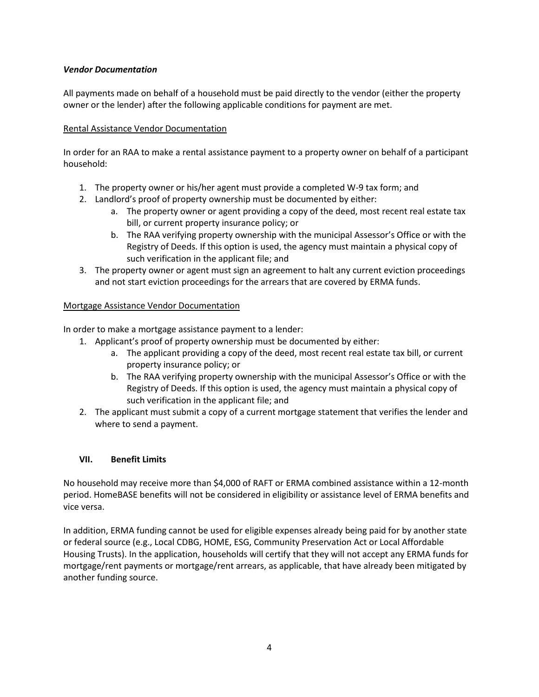### *Vendor Documentation*

All payments made on behalf of a household must be paid directly to the vendor (either the property owner or the lender) after the following applicable conditions for payment are met.

### Rental Assistance Vendor Documentation

In order for an RAA to make a rental assistance payment to a property owner on behalf of a participant household:

- 1. The property owner or his/her agent must provide a completed W-9 tax form; and
- 2. Landlord's proof of property ownership must be documented by either:
	- a. The property owner or agent providing a copy of the deed, most recent real estate tax bill, or current property insurance policy; or
	- b. The RAA verifying property ownership with the municipal Assessor's Office or with the Registry of Deeds. If this option is used, the agency must maintain a physical copy of such verification in the applicant file; and
- 3. The property owner or agent must sign an agreement to halt any current eviction proceedings and not start eviction proceedings for the arrears that are covered by ERMA funds.

### Mortgage Assistance Vendor Documentation

In order to make a mortgage assistance payment to a lender:

- 1. Applicant's proof of property ownership must be documented by either:
	- a. The applicant providing a copy of the deed, most recent real estate tax bill, or current property insurance policy; or
	- b. The RAA verifying property ownership with the municipal Assessor's Office or with the Registry of Deeds. If this option is used, the agency must maintain a physical copy of such verification in the applicant file; and
- 2. The applicant must submit a copy of a current mortgage statement that verifies the lender and where to send a payment.

#### **VII. Benefit Limits**

No household may receive more than \$4,000 of RAFT or ERMA combined assistance within a 12-month period. HomeBASE benefits will not be considered in eligibility or assistance level of ERMA benefits and vice versa.

In addition, ERMA funding cannot be used for eligible expenses already being paid for by another state or federal source (e.g., Local CDBG, HOME, ESG, Community Preservation Act or Local Affordable Housing Trusts). In the application, households will certify that they will not accept any ERMA funds for mortgage/rent payments or mortgage/rent arrears, as applicable, that have already been mitigated by another funding source.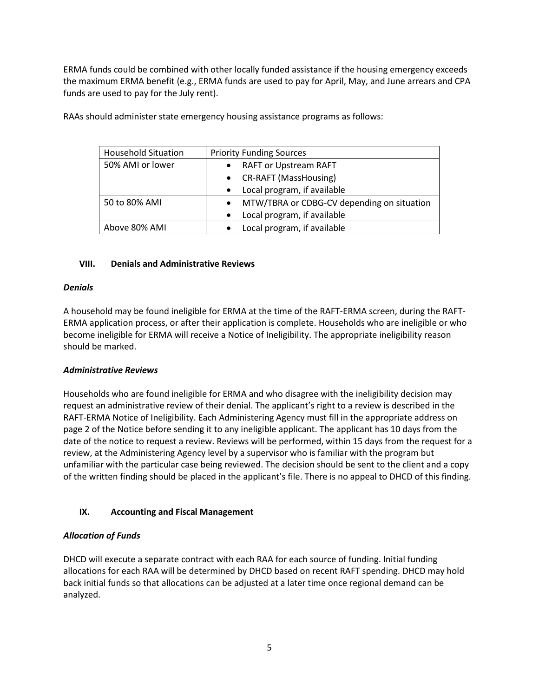ERMA funds could be combined with other locally funded assistance if the housing emergency exceeds the maximum ERMA benefit (e.g., ERMA funds are used to pay for April, May, and June arrears and CPA funds are used to pay for the July rent).

| <b>Household Situation</b> | <b>Priority Funding Sources</b>                         |
|----------------------------|---------------------------------------------------------|
| 50% AMI or lower           | <b>RAFT or Upstream RAFT</b><br>$\bullet$               |
|                            | • CR-RAFT (MassHousing)                                 |
|                            | Local program, if available<br>$\bullet$                |
| 50 to 80% AMI              | MTW/TBRA or CDBG-CV depending on situation<br>$\bullet$ |
|                            | Local program, if available<br>$\bullet$                |
| Above 80% AMI              | Local program, if available<br>$\bullet$                |

RAAs should administer state emergency housing assistance programs as follows:

### **VIII. Denials and Administrative Reviews**

#### *Denials*

A household may be found ineligible for ERMA at the time of the RAFT-ERMA screen, during the RAFT-ERMA application process, or after their application is complete. Households who are ineligible or who become ineligible for ERMA will receive a Notice of Ineligibility. The appropriate ineligibility reason should be marked.

## *Administrative Reviews*

Households who are found ineligible for ERMA and who disagree with the ineligibility decision may request an administrative review of their denial. The applicant's right to a review is described in the RAFT-ERMA Notice of Ineligibility. Each Administering Agency must fill in the appropriate address on page 2 of the Notice before sending it to any ineligible applicant. The applicant has 10 days from the date of the notice to request a review. Reviews will be performed, within 15 days from the request for a review, at the Administering Agency level by a supervisor who is familiar with the program but unfamiliar with the particular case being reviewed. The decision should be sent to the client and a copy of the written finding should be placed in the applicant's file. There is no appeal to DHCD of this finding.

## **IX. Accounting and Fiscal Management**

## *Allocation of Funds*

DHCD will execute a separate contract with each RAA for each source of funding. Initial funding allocations for each RAA will be determined by DHCD based on recent RAFT spending. DHCD may hold back initial funds so that allocations can be adjusted at a later time once regional demand can be analyzed.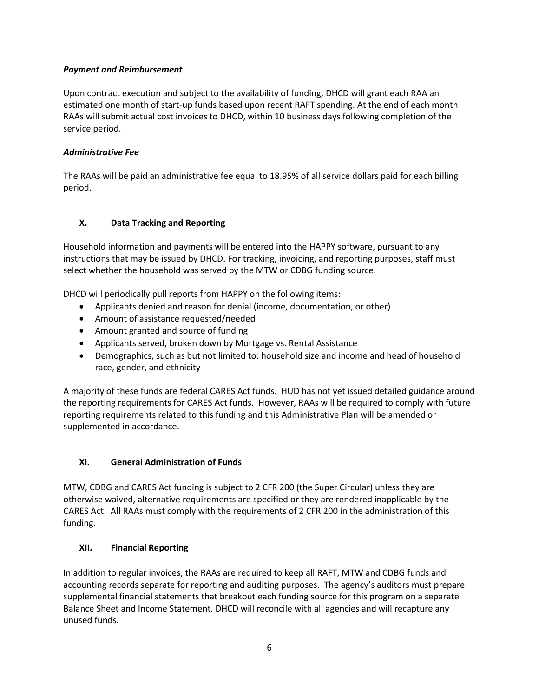### *Payment and Reimbursement*

Upon contract execution and subject to the availability of funding, DHCD will grant each RAA an estimated one month of start-up funds based upon recent RAFT spending. At the end of each month RAAs will submit actual cost invoices to DHCD, within 10 business days following completion of the service period.

### *Administrative Fee*

The RAAs will be paid an administrative fee equal to 18.95% of all service dollars paid for each billing period.

### **X. Data Tracking and Reporting**

Household information and payments will be entered into the HAPPY software, pursuant to any instructions that may be issued by DHCD. For tracking, invoicing, and reporting purposes, staff must select whether the household was served by the MTW or CDBG funding source.

DHCD will periodically pull reports from HAPPY on the following items:

- Applicants denied and reason for denial (income, documentation, or other)
- Amount of assistance requested/needed
- Amount granted and source of funding
- Applicants served, broken down by Mortgage vs. Rental Assistance
- Demographics, such as but not limited to: household size and income and head of household race, gender, and ethnicity

A majority of these funds are federal CARES Act funds. HUD has not yet issued detailed guidance around the reporting requirements for CARES Act funds. However, RAAs will be required to comply with future reporting requirements related to this funding and this Administrative Plan will be amended or supplemented in accordance.

## **XI. General Administration of Funds**

MTW, CDBG and CARES Act funding is subject to 2 CFR 200 (the Super Circular) unless they are otherwise waived, alternative requirements are specified or they are rendered inapplicable by the CARES Act. All RAAs must comply with the requirements of 2 CFR 200 in the administration of this funding.

## **XII. Financial Reporting**

In addition to regular invoices, the RAAs are required to keep all RAFT, MTW and CDBG funds and accounting records separate for reporting and auditing purposes. The agency's auditors must prepare supplemental financial statements that breakout each funding source for this program on a separate Balance Sheet and Income Statement. DHCD will reconcile with all agencies and will recapture any unused funds.